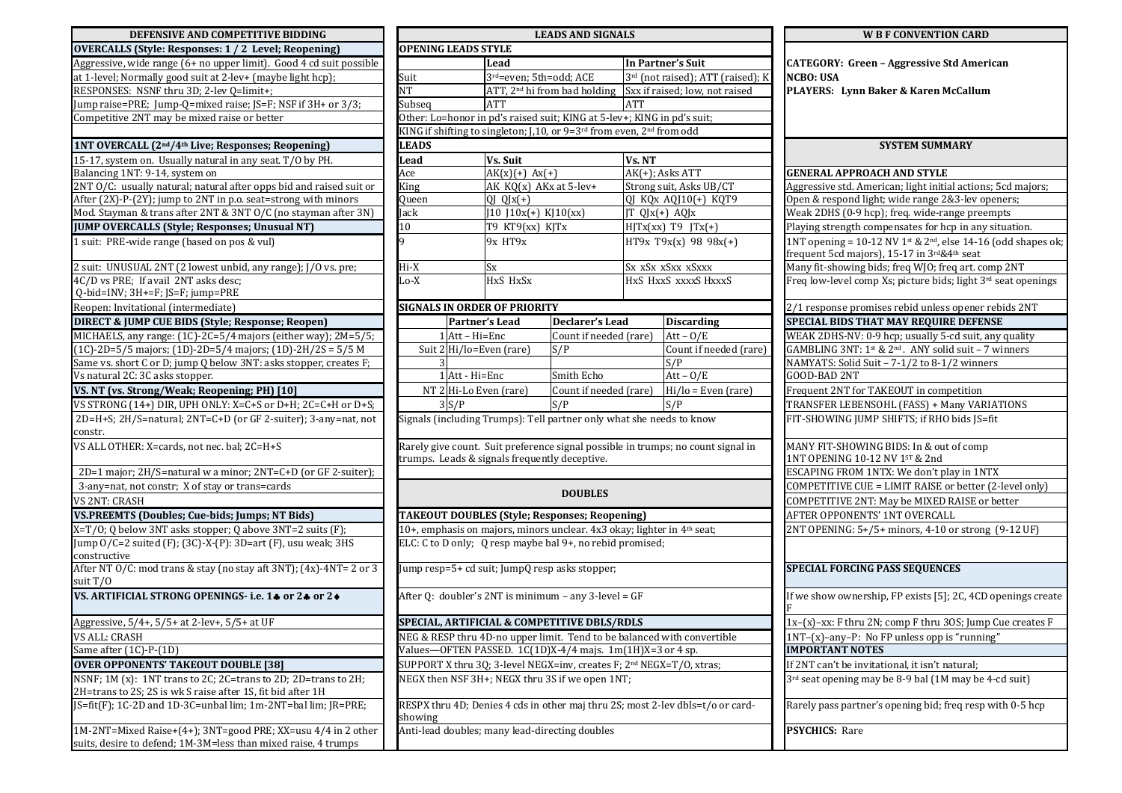| DEFENSIVE AND COMPETITIVE BIDDING                                                                                             |                                                                                                                                                  |                                                                                               |                                                                         | <b>LEADS AND SIGNALS</b>                                             | <b>W B F CONVENTION CARD</b>                                 |                                                           |                                                                                                                            |  |
|-------------------------------------------------------------------------------------------------------------------------------|--------------------------------------------------------------------------------------------------------------------------------------------------|-----------------------------------------------------------------------------------------------|-------------------------------------------------------------------------|----------------------------------------------------------------------|--------------------------------------------------------------|-----------------------------------------------------------|----------------------------------------------------------------------------------------------------------------------------|--|
| <b>OVERCALLS (Style: Responses: 1 / 2 Level; Reopening)</b>                                                                   |                                                                                                                                                  | <b>OPENING LEADS STYLE</b>                                                                    |                                                                         |                                                                      |                                                              |                                                           |                                                                                                                            |  |
| Aggressive, wide range (6+ no upper limit). Good 4 cd suit possible                                                           |                                                                                                                                                  |                                                                                               | Lead                                                                    |                                                                      | In Partner's Suit                                            |                                                           | <b>CATEGORY: Green - Aggressive Std American</b>                                                                           |  |
| at 1-level; Normally good suit at 2-lev+ (maybe light hcp);                                                                   | Suit                                                                                                                                             |                                                                                               | 3rd=even; 5th=odd; ACE                                                  |                                                                      | 3rd (not raised); ATT (raised); K                            |                                                           | <b>NCBO: USA</b>                                                                                                           |  |
| RESPONSES: NSNF thru 3D; 2-lev Q=limit+;                                                                                      | $\overline{\text{NT}}$                                                                                                                           |                                                                                               | ATT, 2 <sup>nd</sup> hi from bad holding Sxx if raised; low, not raised |                                                                      |                                                              |                                                           | PLAYERS: Lynn Baker & Karen McCallum                                                                                       |  |
| Jump raise=PRE; Jump-Q=mixed raise; JS=F; NSF if 3H+ or 3/3;                                                                  | Subseg<br><b>ATT</b>                                                                                                                             |                                                                                               |                                                                         |                                                                      | ATT                                                          |                                                           |                                                                                                                            |  |
| Competitive 2NT may be mixed raise or better                                                                                  |                                                                                                                                                  |                                                                                               | Other: Lo=honor in pd's raised suit; KING at 5-lev+; KING in pd's suit; |                                                                      |                                                              |                                                           |                                                                                                                            |  |
|                                                                                                                               |                                                                                                                                                  | KING if shifting to singleton; J,10, or 9=3 <sup>rd</sup> from even, 2 <sup>nd</sup> from odd |                                                                         |                                                                      |                                                              |                                                           |                                                                                                                            |  |
| 1NT OVERCALL (2 <sup>nd</sup> /4 <sup>th</sup> Live; Responses; Reopening)                                                    |                                                                                                                                                  | <b>LEADS</b>                                                                                  |                                                                         |                                                                      |                                                              |                                                           | <b>SYSTEM SUMMARY</b>                                                                                                      |  |
| 15-17, system on. Usually natural in any seat. T/O by PH.                                                                     | Lead                                                                                                                                             |                                                                                               | Vs. Suit                                                                |                                                                      | Vs. NT                                                       |                                                           |                                                                                                                            |  |
| Balancing 1NT: 9-14, system on                                                                                                | Ace                                                                                                                                              |                                                                                               | $AK(x)(+) Ax(+)$                                                        |                                                                      | $AK(+);$ Asks ATT                                            |                                                           | <b>GENERAL APPROACH AND STYLE</b>                                                                                          |  |
| 2NT O/C: usually natural; natural after opps bid and raised suit or                                                           | King                                                                                                                                             |                                                                                               | AK KQ(x) AKx at 5-lev+                                                  |                                                                      | Strong suit, Asks UB/CT                                      |                                                           | Aggressive std. American; light initial actions; 5cd majors;                                                               |  |
| After (2X)-P-(2Y); jump to 2NT in p.o. seat=strong with minors                                                                | Queen                                                                                                                                            |                                                                                               | $\overline{QJ}$ $QJx(+)$                                                |                                                                      | QJ KQx AQJ10(+) KQT9                                         |                                                           | Open & respond light; wide range 2&3-lev openers;                                                                          |  |
| Mod. Stayman & trans after 2NT & 3NT O/C (no stayman after 3N)                                                                | Jack                                                                                                                                             |                                                                                               | $J10$ $J10x(+)$ KJ10(xx)                                                |                                                                      | JT QJx(+) AQJx                                               |                                                           | Weak 2DHS (0-9 hcp); freq. wide-range preempts                                                                             |  |
| <b>JUMP OVERCALLS (Style; Responses; Unusual NT)</b>                                                                          | 10 <sup>1</sup>                                                                                                                                  |                                                                                               | T9 KT9(xx) KJTx                                                         |                                                                      | $HJTx(xx)$ T9 $JTx(+)$                                       |                                                           | Playing strength compensates for hcp in any situation.                                                                     |  |
| 1 suit: PRE-wide range (based on pos & vul)                                                                                   |                                                                                                                                                  |                                                                                               | 9x HT9x                                                                 |                                                                      | HT9x T9x(x) 98 98x(+)                                        |                                                           | 1NT opening = $10-12$ NV 1st & 2 <sup>nd</sup> , else 14-16 (odd shapes ok;<br>frequent 5cd majors), 15-17 in 3rd&4th seat |  |
| 2 suit: UNUSUAL 2NT (2 lowest unbid, any range); J/O vs. pre;                                                                 | Hi-X                                                                                                                                             |                                                                                               | <b>Sx</b>                                                               |                                                                      | Sx xSx xSxx xSxxx                                            |                                                           | Many fit-showing bids; freq WJO; freq art. comp 2NT                                                                        |  |
| 4C/D vs PRE; If avail 2NT asks desc;<br>Q-bid=INV; 3H+=F; JS=F; jump=PRE                                                      | Lo-X                                                                                                                                             |                                                                                               | HxS HxSx                                                                |                                                                      | HxS HxxS xxxxS HxxxS                                         |                                                           | Freq low-level comp Xs; picture bids; light 3rd seat openings                                                              |  |
| Reopen: Invitational (intermediate)                                                                                           |                                                                                                                                                  |                                                                                               | <b>SIGNALS IN ORDER OF PRIORITY</b>                                     |                                                                      |                                                              |                                                           | 2/1 response promises rebid unless opener rebids 2NT                                                                       |  |
| <b>DIRECT &amp; JUMP CUE BIDS (Style; Response; Reopen)</b>                                                                   |                                                                                                                                                  | <b>Partner's Lead</b>                                                                         |                                                                         | <b>Declarer's Lead</b>                                               |                                                              | <b>Discarding</b>                                         | <b>SPECIAL BIDS THAT MAY REQUIRE DEFENSE</b>                                                                               |  |
| MICHAELS, any range: (1C)-2C=5/4 majors (either way); 2M=5/5;                                                                 |                                                                                                                                                  | $1$ Att - Hi=Enc                                                                              |                                                                         | Count if needed (rare)                                               |                                                              | $Att - O/E$                                               | WEAK 2DHS-NV: 0-9 hcp; usually 5-cd suit, any quality                                                                      |  |
| $(1C)$ -2D=5/5 majors; (1D)-2D=5/4 majors; (1D)-2H/2S = 5/5 M                                                                 |                                                                                                                                                  |                                                                                               | Suit 2 Hi/lo=Even (rare)<br>S/P                                         |                                                                      | Count if needed (rare)                                       |                                                           | GAMBLING 3NT: 1st & 2 <sup>nd</sup> . ANY solid suit - 7 winners                                                           |  |
| Same vs. short C or D; jump Q below 3NT: asks stopper, creates F;                                                             |                                                                                                                                                  |                                                                                               |                                                                         |                                                                      |                                                              | S/P                                                       | NAMYATS: Solid Suit - 7-1/2 to 8-1/2 winners                                                                               |  |
| Vs natural 2C: 3C asks stopper.                                                                                               | 1 Att - Hi=Enc                                                                                                                                   |                                                                                               | Smith Echo                                                              |                                                                      |                                                              | $Att - 0/E$                                               | GOOD-BAD 2NT                                                                                                               |  |
| VS. NT (vs. Strong/Weak; Reopening; PH) [10]                                                                                  |                                                                                                                                                  | NT 2 Hi-Lo Even (rare)                                                                        |                                                                         | Count if needed (rare)                                               |                                                              | $Hi/lo = Even (rare)$                                     | Frequent 2NT for TAKEOUT in competition                                                                                    |  |
| VS STRONG (14+) DIR, UPH ONLY: X=C+S or D+H; 2C=C+H or D+S;                                                                   |                                                                                                                                                  | 3 S/P                                                                                         |                                                                         | S/P                                                                  | S/P                                                          |                                                           | TRANSFER LEBENSOHL (FASS) + Many VARIATIONS                                                                                |  |
| 2D=H+S; 2H/S=natural; 2NT=C+D (or GF 2-suiter); 3-any=nat, not<br>constr.                                                     |                                                                                                                                                  |                                                                                               |                                                                         | Signals (including Trumps): Tell partner only what she needs to know |                                                              |                                                           | FIT-SHOWING JUMP SHIFTS; if RHO bids JS=fit                                                                                |  |
| VS ALL OTHER: X=cards, not nec. bal; 2C=H+S                                                                                   | Rarely give count. Suit preference signal possible in trumps; no count signal in                                                                 |                                                                                               |                                                                         |                                                                      |                                                              |                                                           | MANY FIT-SHOWING BIDS: In & out of comp                                                                                    |  |
|                                                                                                                               |                                                                                                                                                  |                                                                                               | trumps. Leads & signals frequently deceptive.                           |                                                                      |                                                              | 1NT OPENING 10-12 NV 1ST & 2nd                            |                                                                                                                            |  |
| 2D=1 major; 2H/S=natural w a minor; 2NT=C+D (or GF 2-suiter);                                                                 |                                                                                                                                                  |                                                                                               |                                                                         |                                                                      |                                                              |                                                           | ESCAPING FROM 1NTX: We don't play in 1NTX                                                                                  |  |
| 3-any=nat, not constr; X of stay or trans=cards                                                                               |                                                                                                                                                  |                                                                                               |                                                                         | <b>DOUBLES</b>                                                       |                                                              | COMPETITIVE CUE = LIMIT RAISE or better (2-level only)    |                                                                                                                            |  |
| VS 2NT: CRASH                                                                                                                 |                                                                                                                                                  |                                                                                               |                                                                         |                                                                      |                                                              |                                                           | COMPETITIVE 2NT: May be MIXED RAISE or better                                                                              |  |
| VS.PREEMTS (Doubles; Cue-bids; Jumps; NT Bids)                                                                                |                                                                                                                                                  |                                                                                               |                                                                         | TAKEOUT DOUBLES (Style; Responses; Reopening)                        | AFTER OPPONENTS' 1NT OVERCALL                                |                                                           |                                                                                                                            |  |
| X=T/O; Q below 3NT asks stopper; Q above 3NT=2 suits (F);                                                                     | 10+, emphasis on majors, minors unclear. 4x3 okay; lighter in 4 <sup>th</sup> seat;<br>ELC: C to D only; Q resp maybe bal 9+, no rebid promised; |                                                                                               |                                                                         |                                                                      |                                                              |                                                           | 2NT OPENING: 5+/5+ minors, 4-10 or strong (9-12 UF)                                                                        |  |
| Jump 0/C=2 suited (F); (3C)-X-(P): 3D=art (F), usu weak; 3HS<br>constructive                                                  |                                                                                                                                                  |                                                                                               |                                                                         |                                                                      |                                                              |                                                           |                                                                                                                            |  |
| After NT O/C: mod trans & stay (no stay aft 3NT); (4x)-4NT= 2 or 3<br>suit T/O                                                | Jump resp=5+ cd suit; JumpQ resp asks stopper;                                                                                                   |                                                                                               |                                                                         |                                                                      |                                                              |                                                           | <b>SPECIAL FORCING PASS SEQUENCES</b>                                                                                      |  |
| VS. ARTIFICIAL STRONG OPENINGS- i.e. 14 or 24 or 24                                                                           | After Q: doubler's 2NT is minimum - any 3-level = GF                                                                                             |                                                                                               |                                                                         |                                                                      |                                                              |                                                           | If we show ownership, FP exists [5]; 2C, 4CD openings create                                                               |  |
| Aggressive, 5/4+, 5/5+ at 2-lev+, 5/5+ at UF                                                                                  | <b>SPECIAL. ARTIFICIAL &amp; COMPETITIVE DBLS/RDLS</b>                                                                                           |                                                                                               |                                                                         |                                                                      | $1x-(x)-xx$ : F thru 2N: comp F thru 30S: Jump Cue creates F |                                                           |                                                                                                                            |  |
| <b>VS ALL: CRASH</b>                                                                                                          | NEG & RESP thru 4D-no upper limit. Tend to be balanced with convertible                                                                          |                                                                                               |                                                                         |                                                                      |                                                              | 1NT-(x)-any-P: No FP unless opp is "running"              |                                                                                                                            |  |
| Same after (1C)-P-(1D)                                                                                                        | Values-OFTEN PASSED. 1C(1D)X-4/4 majs. 1m(1H)X=3 or 4 sp.                                                                                        |                                                                                               |                                                                         |                                                                      |                                                              | <b>IMPORTANT NOTES</b>                                    |                                                                                                                            |  |
| <b>OVER OPPONENTS' TAKEOUT DOUBLE [38]</b>                                                                                    | SUPPORT X thru 3Q; 3-level NEGX=inv, creates F; 2 <sup>nd</sup> NEGX=T/O, xtras;                                                                 |                                                                                               |                                                                         |                                                                      | If 2NT can't be invitational, it isn't natural;              |                                                           |                                                                                                                            |  |
| NSNF; 1M (x): 1NT trans to 2C; 2C=trans to 2D; 2D=trans to 2H;<br>2H=trans to 2S; 2S is wk S raise after 1S, fit bid after 1H | NEGX then NSF 3H+; NEGX thru 3S if we open 1NT;                                                                                                  |                                                                                               |                                                                         |                                                                      |                                                              | 3rd seat opening may be 8-9 bal (1M may be 4-cd suit)     |                                                                                                                            |  |
| JS=fit(F); 1C-2D and 1D-3C=unbal lim; 1m-2NT=bal lim; JR=PRE;                                                                 | RESPX thru 4D; Denies 4 cds in other maj thru 2S; most 2-lev dbls=t/o or card-<br>showing                                                        |                                                                                               |                                                                         |                                                                      |                                                              | Rarely pass partner's opening bid; freq resp with 0-5 hcp |                                                                                                                            |  |
| 1M-2NT=Mixed Raise+(4+); 3NT=good PRE; XX=usu 4/4 in 2 other                                                                  | Anti-lead doubles; many lead-directing doubles                                                                                                   |                                                                                               |                                                                         |                                                                      | <b>PSYCHICS: Rare</b>                                        |                                                           |                                                                                                                            |  |
| suits, desire to defend; 1M-3M=less than mixed raise, 4 trumps                                                                |                                                                                                                                                  |                                                                                               |                                                                         |                                                                      |                                                              |                                                           |                                                                                                                            |  |